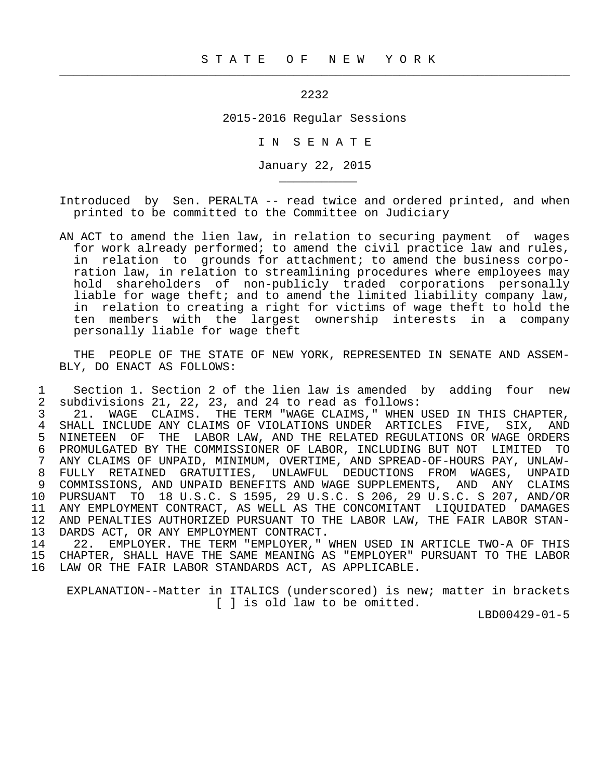2232

 $\frac{1}{2}$  , and the contribution of the contribution of the contribution of the contribution of the contribution of the contribution of the contribution of the contribution of the contribution of the contribution of the c

\_\_\_\_\_\_\_\_\_\_\_

2015-2016 Regular Sessions

I N S E N A T E

January 22, 2015

 Introduced by Sen. PERALTA -- read twice and ordered printed, and when printed to be committed to the Committee on Judiciary

 AN ACT to amend the lien law, in relation to securing payment of wages for work already performed; to amend the civil practice law and rules, in relation to grounds for attachment; to amend the business corpo ration law, in relation to streamlining procedures where employees may hold shareholders of non-publicly traded corporations personally liable for wage theft; and to amend the limited liability company law, in relation to creating a right for victims of wage theft to hold the ten members with the largest ownership interests in a company personally liable for wage theft

 THE PEOPLE OF THE STATE OF NEW YORK, REPRESENTED IN SENATE AND ASSEM- BLY, DO ENACT AS FOLLOWS:

1 Section 1. Section 2 of the lien law is amended by adding four new<br>2 subdivisions 21, 22, 23, and 24 to read as follows: 2 subdivisions 21, 22, 23, and 24 to read as follows:<br>3 21. WAGE CLAIMS. THE TERM "WAGE CLAIMS." WHEN

3 21. WAGE CLAIMS. THE TERM "WAGE CLAIMS," WHEN USED IN THIS CHAPTER,<br>4 SHALL INCLUDE ANY CLAIMS OF VIOLATIONS UNDER ARTICLES FIVE. SIX. AND 4 SHALL INCLUDE ANY CLAIMS OF VIOLATIONS UNDER ARTICLES FIVE, SIX, AND<br>5 NINETEEN OF THE LABOR LAW, AND THE RELATED REGULATIONS OR WAGE ORDERS 5 NINETEEN OF THE LABOR LAW, AND THE RELATED REGULATIONS OR WAGE ORDERS<br>6 PROMULGATED BY THE COMMISSIONER OF LABOR, INCLUDING BUT NOT LIMITED TO 6 PROMULGATED BY THE COMMISSIONER OF LABOR, INCLUDING BUT NOT LIMITED TO<br>7 ANY CLAIMS OF UNPAID, MINIMUM, OVERTIME, AND SPREAD-OF-HOURS PAY, UNLAW- 7 ANY CLAIMS OF UNPAID, MINIMUM, OVERTIME, AND SPREAD-OF-HOURS PAY, UNLAW- 8 FULLY RETAINED GRATUITIES, UNLAWFUL DEDUCTIONS FROM WAGES, UNPAID<br>9 COMMISSIONS, AND UNPAID BENEFITS AND WAGE SUPPLEMENTS, AND ANY CLAIMS 9 COMMISSIONS, AND UNPAID BENEFITS AND WAGE SUPPLEMENTS, AND ANY CLAIMS 10 PURSUANT TO 18 U.S.C. S 1595, 29 U.S.C. S 206, 29 U.S.C. S 207, AND/OR 11 ANY EMPLOYMENT CONTRACT, AS WELL AS THE CONCOMITANT LIQUIDATED DAMAGES<br>12 AND PENALTIES AUTHORIZED PURSUANT TO THE LABOR LAW, THE FAIR LABOR STAN-12 AND PENALTIES AUTHORIZED PURSUANT TO THE LABOR LAW, THE FAIR LABOR STAN-<br>13 DARDS ACT, OR ANY EMPLOYMENT CONTRACT. 13 DARDS ACT, OR ANY EMPLOYMENT CONTRACT.<br>14 22. EMPLOYER, THE TERM "EMPLOYER."

 14 22. EMPLOYER. THE TERM "EMPLOYER," WHEN USED IN ARTICLE TWO-A OF THIS 15 CHAPTER, SHALL HAVE THE SAME MEANING AS "EMPLOYER" PURSUANT TO THE LABOR 16 LAW OR THE FAIR LABOR STANDARDS ACT, AS APPLICABLE.

 EXPLANATION--Matter in ITALICS (underscored) is new; matter in brackets [ ] is old law to be omitted.

LBD00429-01-5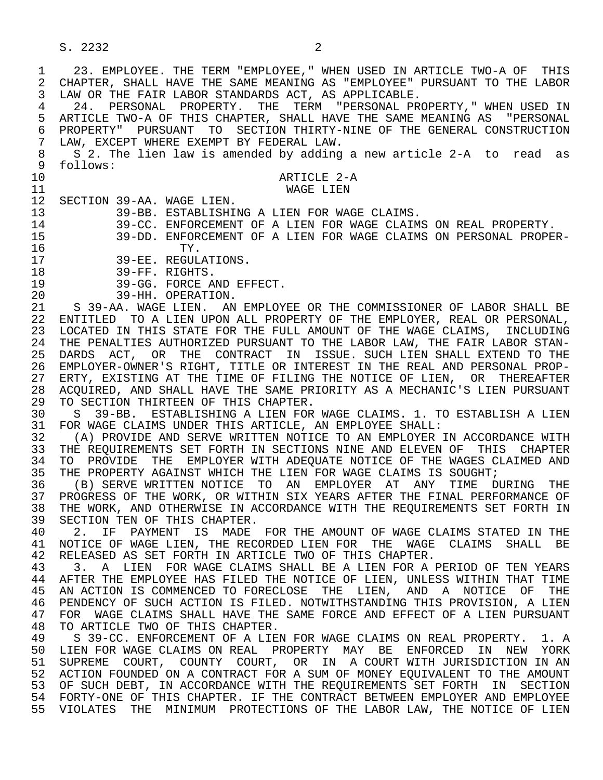S. 2232 2

1 23. EMPLOYEE. THE TERM "EMPLOYEE," WHEN USED IN ARTICLE TWO-A OF THIS<br>2 CHAPTER, SHALL HAVE THE SAME MEANING AS "EMPLOYEE" PURSUANT TO THE LABOR 2 CHAPTER, SHALL HAVE THE SAME MEANING AS "EMPLOYEE" PURSUANT TO THE LABOR<br>3 LAW OR THE FAIR LABOR STANDARDS ACT, AS APPLICABLE. LAW OR THE FAIR LABOR STANDARDS ACT, AS APPLICABLE. 4 24. PERSONAL PROPERTY. THE TERM "PERSONAL PROPERTY," WHEN USED IN<br>5 ARTICLE TWO-A OF THIS CHAPTER, SHALL HAVE THE SAME MEANING AS "PERSONAL 5 ARTICLE TWO-A OF THIS CHAPTER, SHALL HAVE THE SAME MEANING AS "PERSONAL<br>6 PROPERTY" PURSUANT TO SECTION THIRTY-NINE OF THE GENERAL CONSTRUCTION 6 PROPERTY" PURSUANT TO SECTION THIRTY-NINE OF THE GENERAL CONSTRUCTION<br>7 LAW, EXCEPT WHERE EXEMPT BY FEDERAL LAW. 7 LAW, EXCEPT WHERE EXEMPT BY FEDERAL LAW.<br>8 S 2. The lien law is amended by adding 8 S 2. The lien law is amended by adding a new article 2-A to read as<br>9 follows: 9 follows: 10 ARTICLE 2-A<br>11 WAGE LIEN 11 WAGE LIEN 12 SECTION 39-AA. WAGE LIEN.<br>13 39-BB. ESTABLISHI 13 39-BB. ESTABLISHING A LIEN FOR WAGE CLAIMS.<br>14 39-CC, ENFORCEMENT OF A LIEN FOR WAGE CLAIM 14 39-CC. ENFORCEMENT OF A LIEN FOR WAGE CLAIMS ON REAL PROPERTY. 15 39-DD. ENFORCEMENT OF A LIEN FOR WAGE CLAIMS ON PERSONAL PROPER- 16 TY.<br>17 39-EE. REGUL 17 39-EE. REGULATIONS.<br>18 39-FF. RIGHTS. 18 39-FF. RIGHTS.<br>19 39-GG. FORCE A 19 39-GG. FORCE AND EFFECT.<br>20 39-HH. OPERATION. 20 39-HH. OPERATION.<br>21 S 39-AA. WAGE LIEN. AN 21 S 39-AA. WAGE LIEN. AN EMPLOYEE OR THE COMMISSIONER OF LABOR SHALL BE 22 ENTITLED TO A LIEN UPON ALL PROPERTY OF THE EMPLOYER, REAL OR PERSONAL, 23 LOCATED IN THIS STATE FOR THE FULL AMOUNT OF THE WAGE CLAIMS, INCLUDING 24 THE PENALTIES AUTHORIZED PURSUANT TO THE LABOR LAW, THE FAIR LABOR STAN-<br>25 DARDS ACT, OR THE CONTRACT IN ISSUE, SUCH LIEN SHALL EXTEND TO THE 25 DARDS ACT, OR THE CONTRACT IN ISSUE. SUCH LIEN SHALL EXTEND TO THE 26 EMPLOYER-OWNER'S RIGHT, TITLE OR INTEREST IN THE REAL AND PERSONAL PROP- 27 ERTY, EXISTING AT THE TIME OF FILING THE NOTICE OF LIEN, OR THEREAFTER<br>28 ACOUIRED, AND SHALL HAVE THE SAME PRIORITY AS A MECHANIC'S LIEN PURSUANT 28 ACQUIRED, AND SHALL HAVE THE SAME PRIORITY AS A MECHANIC'S LIEN PURSUANT<br>29 TO SECTION THIRTEEN OF THIS CHAPTER. 29 TO SECTION THIRTEEN OF THIS CHAPTER.<br>30 S 39-BB. ESTABLISHING A LIEN FOR 30 S 39-BB. ESTABLISHING A LIEN FOR WAGE CLAIMS. 1. TO ESTABLISH A LIEN<br>31 FOR WAGE CLAIMS UNDER THIS ARTICLE, AN EMPLOYEE SHALL: 31 FOR WAGE CLAIMS UNDER THIS ARTICLE, AN EMPLOYEE SHALL:<br>32 (A) PROVIDE AND SERVE WRITTEN NOTICE TO AN EMPLOYER 32 THE REOVIDE AND SERVE WRITTEN NOTICE TO AN EMPLOYER IN ACCORDANCE WITH  $\overline{33}$  the reouirements set forth in sections nine and eleven of this chapter 33 THE REQUIREMENTS SET FORTH IN SECTIONS NINE AND ELEVEN OF THIS CHAPTER<br>34 TO PROVIDE THE EMPLOYER WITH ADEOUATE NOTICE OF THE WAGES CLAIMED AND 34 TO PROVIDE THE EMPLOYER WITH ADEQUATE NOTICE OF THE WAGES CLAIMED AND<br>35 THE PROPERTY AGAINST WHICH THE LIEN FOR WAGE CLAIMS IS SOUGHT; 35 THE PROPERTY AGAINST WHICH THE LIEN FOR WAGE CLAIMS IS SOUGHT;<br>36 (B) SERVE WRITTEN NOTICE TO AN EMPLOYER AT ANY TIME D 36 (B) SERVE WRITTEN NOTICE TO AN EMPLOYER AT ANY TIME DURING THE 37 PROGRESS OF THE WORK, OR WITHIN SIX YEARS AFTER THE FINAL PERFORMANCE OF<br>38 THE WORK, AND OTHERWISE IN ACCORDANCE WITH THE REOUIREMENTS SET FORTH IN 38 THE WORK, AND OTHERWISE IN ACCORDANCE WITH THE REQUIREMENTS SET FORTH IN 39 SECTION TEN OF THIS CHAPTER. 39 SECTION TEN OF THIS CHAPTER.<br>40 2. IF PAYMENT IS MADE 40 2. IF PAYMENT IS MADE FOR THE AMOUNT OF WAGE CLAIMS STATED IN THE 41 NOTICE OF WAGE LIEN. THE RECORDED LIEN FOR THE WAGE CLAIMS SHALL BE 41 NOTICE OF WAGE LIEN, THE RECORDED LIEN FOR THE WAGE CLAIMS SHALL BE 42 RELEASED AS SET FORTH IN ARTICLE TWO OF THIS CHAPTER. 42 RELEASED AS SET FORTH IN ARTICLE TWO OF THIS CHAPTER.<br>43 3. A LIEN FOR WAGE CLAIMS SHALL BE A LIEN FOR A 43 THAT A LIEN FOR WAGE CLAIMS SHALL BE A LIEN FOR A PERIOD OF TEN YEARS AND ALL TOR WAGE CLAIMS SHALL BE A LIEN FOR SHALL THAT TIME 44 AFTER THE EMPLOYEE HAS FILED THE NOTICE OF LIEN, UNLESS WITHIN THAT TIME<br>45 AN ACTION IS COMMENCED TO FORECLOSE THE LIEN, AND A NOTICE OF THE AN ACTION IS COMMENCED TO FORECLOSE THE LIEN, AND A NOTICE OF THE 46 PENDENCY OF SUCH ACTION IS FILED. NOTWITHSTANDING THIS PROVISION, A LIEN<br>47 FOR WAGE CLAIMS SHALL HAVE THE SAME FORCE AND EFFECT OF A LIEN PURSUANT 47 FOR WAGE CLAIMS SHALL HAVE THE SAME FORCE AND EFFECT OF A LIEN PURSUANT 48 TO ARTICLE TWO OF THIS CHAPTER. 48 TO ARTICLE TWO OF THIS CHAPTER.<br>49 S 39-CC. ENFORCEMENT OF A LIE 49 S 39-CC. ENFORCEMENT OF A LIEN FOR WAGE CLAIMS ON REAL PROPERTY. 1. A 50 LIEN FOR WAGE CLAIMS ON REAL PROPERTY MAY BE ENFORCED IN NEW YORK 51 SUPREME COURT, COUNTY COURT, OR IN A COURT WITH JURISDICTION IN AN 52 ACTION FOUNDED ON A CONTRACT FOR A SUM OF MONEY EQUIVALENT TO THE AMOUNT 53 OF SUCH DEBT, IN ACCORDANCE WITH THE REQUIREMENTS SET FORTH IN SECTION 54 FORTY-ONE OF THIS CHAPTER. IF THE CONTRACT BETWEEN EMPLOYER AND EMPLOYEE 55 VIOLATES THE MINIMUM PROTECTIONS OF THE LABOR LAW, THE NOTICE OF LIEN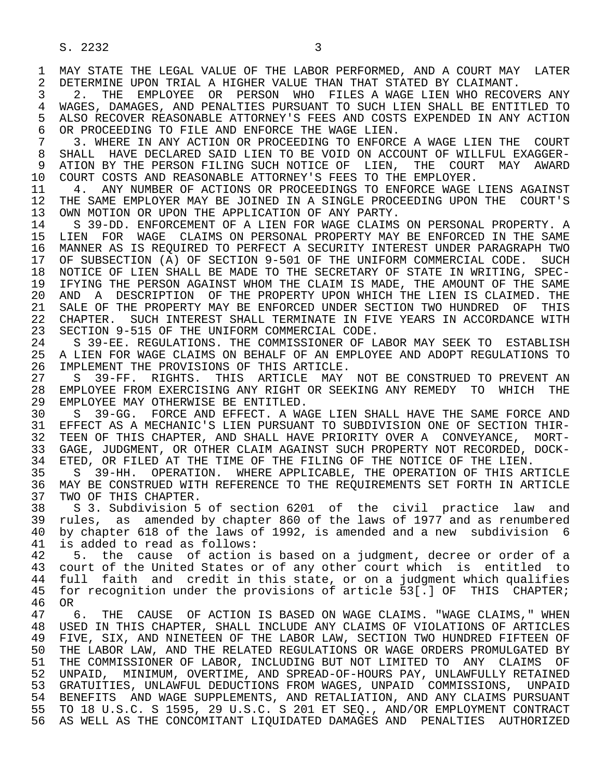1 MAY STATE THE LEGAL VALUE OF THE LABOR PERFORMED, AND A COURT MAY LATER<br>2 DETERMINE UPON TRIAL A HIGHER VALUE THAN THAT STATED BY CLAIMANT. 2 DETERMINE UPON TRIAL A HIGHER VALUE THAN THAT STATED BY CLAIMANT.<br>3 2. THE EMPLOYEE OR PERSON WHO FILES A WAGE LIEN WHO RECOV

 3 2. THE EMPLOYEE OR PERSON WHO FILES A WAGE LIEN WHO RECOVERS ANY 4 WAGES, DAMAGES, AND PENALTIES PURSUANT TO SUCH LIEN SHALL BE ENTITLED TO<br>5 ALSO RECOVER REASONABLE ATTORNEY'S FEES AND COSTS EXPENDED IN ANY ACTION 5 ALSO RECOVER REASONABLE ATTORNEY'S FEES AND COSTS EXPENDED IN ANY ACTION<br>6 OR PROCEEDING TO FILE AND ENFORCE THE WAGE LIEN. 6 OR PROCEEDING TO FILE AND ENFORCE THE WAGE LIEN.<br>7 3. WHERE IN ANY ACTION OR PROCEEDING TO ENFORC

 7 3. WHERE IN ANY ACTION OR PROCEEDING TO ENFORCE A WAGE LIEN THE COURT 8 SHALL HAVE DECLARED SAID LIEN TO BE VOID ON ACCOUNT OF WILLFUL EXAGGER-<br>9 ATION BY THE PERSON FILING SUCH NOTICE OF LIEN. THE COURT MAY AWARD 9 ATION BY THE PERSON FILING SUCH NOTICE OF LIEN, THE COURT MAY AWARD<br>10 COURT COSTS AND REASONABLE ATTORNEY'S FEES TO THE EMPLOYER. 10 COURT COSTS AND REASONABLE ATTORNEY'S FEES TO THE EMPLOYER.<br>11 4. ANY NUMBER OF ACTIONS OR PROCEEDINGS TO ENFORCE WAGE

11 4. ANY NUMBER OF ACTIONS OR PROCEEDINGS TO ENFORCE WAGE LIENS AGAINST<br>12 THE SAME EMPLOYER MAY BE JOINED IN A SINGLE PROCEEDING UPON THE COURT'S 12 THE SAME EMPLOYER MAY BE JOINED IN A SINGLE PROCEEDING UPON THE COURT'S 13 OWN MOTION OR UPON THE APPLICATION OF ANY PARTY. 13 OWN MOTION OR UPON THE APPLICATION OF ANY PARTY.<br>14 S 39-DD, ENFORCEMENT OF A LIEN FOR WAGE CLAIMS

S 39-DD. ENFORCEMENT OF A LIEN FOR WAGE CLAIMS ON PERSONAL PROPERTY. A 15 LIEN FOR WAGE CLAIMS ON PERSONAL PROPERTY MAY BE ENFORCED IN THE SAME<br>16 MANNER AS IS REOUIRED TO PERFECT A SECURITY INTEREST UNDER PARAGRAPH TWO 16 MANNER AS IS REQUIRED TO PERFECT A SECURITY INTEREST UNDER PARAGRAPH TWO<br>17 OF SUBSECTION (A) OF SECTION 9-501 OF THE UNIFORM COMMERCIAL CODE. SUCH 17 OF SUBSECTION (A) OF SECTION 9-501 OF THE UNIFORM COMMERCIAL CODE. SUCH 18 NOTICE OF LIEN SHALL BE MADE TO THE SECRETARY OF STATE IN WRITING, SPEC-18 NOTICE OF LIEN SHALL BE MADE TO THE SECRETARY OF STATE IN WRITING, SPEC-<br>19 IFYING THE PERSON AGAINST WHOM THE CLAIM IS MADE, THE AMOUNT OF THE SAME 19 IFYING THE PERSON AGAINST WHOM THE CLAIM IS MADE, THE AMOUNT OF THE SAME<br>20 AND A DESCRIPTION OF THE PROPERTY UPON WHICH THE LIEN IS CLAIMED. THE 20 AND A DESCRIPTION OF THE PROPERTY UPON WHICH THE LIEN IS CLAIMED. THE 21 SALE OF THIS 21 SALE OF THE PROPERTY MAY BE ENFORCED UNDER SECTION TWO HUNDRED OF THIS<br>22 CHAPTER, SUCH INTEREST SHALL TERMINATE IN FIVE YEARS IN ACCORDANCE WITH 22 CHAPTER. SUCH INTEREST SHALL TERMINATE IN FIVE YEARS IN ACCORDANCE WITH 23 SECTION 9-515 OF THE UNIFORM COMMERCIAL CODE. SECTION 9-515 OF THE UNIFORM COMMERCIAL CODE.

24 S 39-EE. REGULATIONS. THE COMMISSIONER OF LABOR MAY SEEK TO ESTABLISH<br>25 A LIEN FOR WAGE CLAIMS ON BEHALF OF AN EMPLOYEE AND ADOPT REGULATIONS TO 25 A LIEN FOR WAGE CLAIMS ON BEHALF OF AN EMPLOYEE AND ADOPT REGULATIONS TO 26 IMPLEMENT THE PROVISIONS OF THIS ARTICLE.<br>27 S 39-FF. RIGHTS. THIS ARTICLE MAY

27 S 39-FF. RIGHTS. THIS ARTICLE MAY NOT BE CONSTRUED TO PREVENT AN 28 EMPLOYEE FROM EXERCISING ANY RIGHT OR SEEKING ANY REMEDY TO WHICH THE 28 EMPLOYEE FROM EXERCISING ANY RIGHT OR SEEKING ANY REMEDY TO WHICH THE 29 EMPLOYEE MAY OTHERWISE BE ENTITLED. 29 EMPLOYEE MAY OTHERWISE BE ENTITLED.<br>30 S. 39-GG, FORCE AND EFFECT, A WA

30 S 39-GG. FORCE AND EFFECT. A WAGE LIEN SHALL HAVE THE SAME FORCE AND<br>31 EFFECT AS A MECHANIC'S LIEN PURSUANT TO SUBDIVISION ONE OF SECTION THIR-31 EFFECT AS A MECHANIC'S LIEN PURSUANT TO SUBDIVISION ONE OF SECTION THIR-<br>32 TEEN OF THIS CHAPTER, AND SHALL HAVE PRIORITY OVER A CONVEYANCE, MORT-32 TEEN OF THIS CHAPTER, AND SHALL HAVE PRIORITY OVER A CONVEYANCE, MORT-<br>33 GAGE, JUDGMENT, OR OTHER CLAIM AGAINST SUCH PROPERTY NOT RECORDED, DOCK-33 GAGE, JUDGMENT, OR OTHER CLAIM AGAINST SUCH PROPERTY NOT RECORDED, DOCK-<br>34 ETED, OR FILED AT THE TIME OF THE FILING OF THE NOTICE OF THE LIEN. 34 ETED, OR FILED AT THE TIME OF THE FILING OF THE NOTICE OF THE LIEN.<br>35 S 39-HH. OPERATION. WHERE APPLICABLE, THE OPERATION OF THIS AR

35 S 39-HH. OPERATION. WHERE APPLICABLE, THE OPERATION OF THIS ARTICLE<br>36 MAY BE CONSTRUED WITH REFERENCE TO THE REOUIREMENTS SET FORTH IN ARTICLE MAY BE CONSTRUED WITH REFERENCE TO THE REQUIREMENTS SET FORTH IN ARTICLE 37 TWO OF THIS CHAPTER.<br>38 S 3. Subdivision 5

38 S 3. Subdivision 5 of section 6201 of the civil practice law and<br>39 rules, as amended by chapter 860 of the laws of 1977 and as renumbered 39 rules, as amended by chapter 860 of the laws of 1977 and as renumbered<br>40 by chapter 618 of the laws of 1992, is amended and a new subdivision 6 40 by chapter 618 of the laws of 1992, is amended and a new subdivision 6<br>41 is added to read as follows: 41 is added to read as follows:<br>42 5. the cause of action

42 5. the cause of action is based on a judgment, decree or order of a<br>43 court of the United States or of any other court which is entitled to 43 court of the United States or of any other court which is entitled to<br>44 full faith and credit in this state, or on a judgment which qualifies 44 full faith and credit in this state, or on a judgment which qualifies<br>45 for recognition under the provisions of article 53[.] OF THIS CHAPTER; for recognition under the provisions of article 53[.] OF THIS CHAPTER;

46 OR<br>47 ( 47 6. THE CAUSE OF ACTION IS BASED ON WAGE CLAIMS. "WAGE CLAIMS," WHEN<br>48 USED IN THIS CHAPTER, SHALL INCLUDE ANY CLAIMS OF VIOLATIONS OF ARTICLES 48 USED IN THIS CHAPTER, SHALL INCLUDE ANY CLAIMS OF VIOLATIONS OF ARTICLES<br>49 FIVE, SIX, AND NINETEEN OF THE LABOR LAW, SECTION TWO HUNDRED FIFTEEN OF 49 FIVE, SIX, AND NINETEEN OF THE LABOR LAW, SECTION TWO HUNDRED FIFTEEN OF<br>50 THE LABOR LAW, AND THE RELATED REGULATIONS OR WAGE ORDERS PROMULGATED BY 50 THE LABOR LAW, AND THE RELATED REGULATIONS OR WAGE ORDERS PROMULGATED BY<br>51 THE COMMISSIONER OF LABOR, INCLUDING BUT NOT LIMITED TO ANY CLAIMS OF 51 THE COMMISSIONER OF LABOR, INCLUDING BUT NOT LIMITED TO ANY CLAIMS OF<br>52 UNPAID, MINIMUM, OVERTIME, AND SPREAD-OF-HOURS PAY, UNLAWFULLY RETAINED 52 UNPAID, MINIMUM, OVERTIME, AND SPREAD-OF-HOURS PAY, UNLAWFULLY RETAINED 53 GRATUITIES, UNLAWFUL DEDUCTIONS FROM WAGES, UNPAID COMMISSIONS, UNPAID<br>54 BENEFITS AND WAGE SUPPLEMENTS, AND RETALIATION, AND ANY CLAIMS PURSUANT 54 BENEFITS AND WAGE SUPPLEMENTS, AND RETALIATION, AND ANY CLAIMS PURSUANT<br>55 TO 18 U.S.C. S 1595, 29 U.S.C. S 201 ET SEO., AND/OR EMPLOYMENT CONTRACT 55 TO 18 U.S.C. S 1595, 29 U.S.C. S 201 ET SEQ., AND/OR EMPLOYMENT CONTRACT 56 AS WELL AS THE CONCOMITANT LIQUIDATED DAMAGES AND PENALTIES AUTHORIZED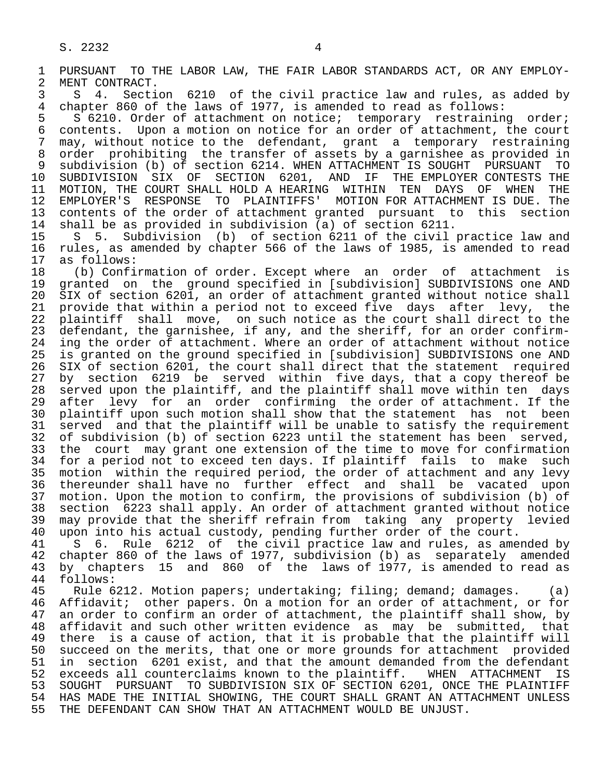1 PURSUANT TO THE LABOR LAW, THE FAIR LABOR STANDARDS ACT, OR ANY EMPLOY-<br>2 MENT CONTRACT. 2 MENT CONTRACT.<br>3 S 4. Secti 3 S 4. Section 6210 of the civil practice law and rules, as added by<br>4 chapter 860 of the laws of 1977, is amended to read as follows: 4 chapter 860 of the laws of 1977, is amended to read as follows:<br>5 S 6210. Order of attachment on notice; temporary restrainin 5 S 6210. Order of attachment on notice; temporary restraining order;<br>6 contents. Upon a motion on notice for an order of attachment, the court 6 contents. Upon a motion on notice for an order of attachment, the court<br>7 may, without notice to the defendant, grant a temporary restraining 7 may, without notice to the defendant, grant a temporary restraining<br>8 order prohibiting the transfer of assets by a garnishee as provided in 8 order prohibiting the transfer of assets by a garnishee as provided in<br>8 subdivision (b) of section 6214. WHEN ATTACHMENT IS SOUGHT PURSUANT TO 9 subdivision (b) of section 6214. WHEN ATTACHMENT IS SOUGHT PURSUANT TO<br>10 SUBDIVISION SIX OF SECTION 6201, AND IF THE EMPLOYER CONTESTS THE 10 SUBDIVISION SIX OF SECTION 6201, AND IF THE EMPLOYER CONTESTS THE 11 MOTION. THE COURT SHALL HOLD A HEARING WITHIN TEN DAYS OF WHEN THE 11 MOTION, THE COURT SHALL HOLD A HEARING WITHIN TEN DAYS OF WHEN THE<br>12 EMPLOYER'S RESPONSE TO PLAINTIFFS' MOTION FOR ATTACHMENT IS DUE. The 12 EMPLOYER'S RESPONSE TO PLAINTIFFS' MOTION FOR ATTACHMENT IS DUE. The<br>13 contents of the order of attachment granted pursuant to this section 13 contents of the order of attachment granted pursuant to this section<br>14 shall be as provided in subdivision (a) of section 6211. shall be as provided in subdivision (a) of section  $6211$ . 15 S S. Subdivision (b) of section 6211 of the civil practice law and<br>16 rules, as amended by chapter 566 of the laws of 1985, is amended to read 16 rules, as amended by chapter 566 of the laws of 1985, is amended to read<br>17 as follows: 17 as follows:<br>18 (b) Confi 18 (b) Confirmation of order. Except where an order of attachment is 19 granted on the ground specified in [subdivision] SUBDIVISIONS one AND<br>20 SIX of section 6201, an order of attachment granted without notice shall 20 SIX of section 6201, an order of attachment granted without notice shall<br>21 provide that within a period not to exceed five days after levy, the 21 provide that within a period not to exceed five days after levy, the<br>22 plaintiff shall move, on such notice as the court shall direct to the 22 plaintiff shall move, on such notice as the court shall direct to the<br>23 defendant, the garnishee, if any, and the sheriff, for an order confirmdefendant, the garnishee, if any, and the sheriff, for an order confirm-24 ing the order of attachment. Where an order of attachment without notice<br>25 is granted on the ground specified in [subdivision] SUBDIVISIONS one AND is granted on the ground specified in [subdivision] SUBDIVISIONS one AND 26 SIX of section 6201, the court shall direct that the statement required<br>27 by section 6219 be served within five days, that a copy thereof be 27 by section 6219 be served within five days, that a copy thereof be<br>28 served upon the plaintiff, and the plaintiff shall move within ten days 28 served upon the plaintiff, and the plaintiff shall move within ten days<br>29 after levy for an order confirming the order of attachment. If the after levy for an order confirming the order of attachment. If the 30 plaintiff upon such motion shall show that the statement has not been<br>31 served and that the plaintiff will be unable to satisfy the requirement 31 served and that the plaintiff will be unable to satisfy the requirement<br>32 of subdivision (b) of section 6223 until the statement has been served. 32 of subdivision (b) of section 6223 until the statement has been served,<br>33 the court may grant one extension of the time to move for confirmation 33 the court may grant one extension of the time to move for confirmation<br>34 for a period not to exceed ten days. If plaintiff fails to make such 34 for a period not to exceed ten days. If plaintiff fails to make such<br>35 motion within the required period, the order of attachment and any levy 35 motion within the required period, the order of attachment and any levy<br>36 thereunder shall have no further effect and shall be vacated upon thereunder shall have no further effect and shall be vacated upon 37 motion. Upon the motion to confirm, the provisions of subdivision (b) of 38 section 6223 shall apply. An order of attachment granted without notice 39 may provide that the sheriff refrain from taking any property levied<br>40 upon into his actual custody, pending further order of the court. 40 upon into his actual custody, pending further order of the court.<br>41 S 6. Rule 6212 of the civil practice law and rules, as amen 41 S 6. Rule 6212 of the civil practice law and rules, as amended by<br>42 chapter 860 of the laws of 1977, subdivision (b) as separately amended de the chapter 860 of the laws of 1977, subdivision (b) as separately amended<br>43 by chapters 15 and 860 of the laws of 1977, is amended to read as 43 by chapters 15 and 860 of the laws of 1977, is amended to read as 44 follows: 44 follows:

Rule 6212. Motion papers; undertaking; filing; demand; damages. (a) 46 Affidavit; other papers. On a motion for an order of attachment, or for<br>47 an order to confirm an order of attachment, the plaintiff shall show, by an order to confirm an order of attachment, the plaintiff shall show, by 48 affidavit and such other written evidence as may be submitted, that<br>49 there is a cause of action, that it is probable that the plaintiff will 49 there is a cause of action, that it is probable that the plaintiff will<br>50 succeed on the merits, that one or more grounds for attachment provided 50 succeed on the merits, that one or more grounds for attachment provided<br>51 in section 6201 exist, and that the amount demanded from the defendant 51 in section 6201 exist, and that the amount demanded from the defendant<br>52 exceeds all counterclaims known to the plaintiff. WHEN ATTACHMENT IS 52 exceeds all counterclaims known to the plaintiff. WHEN ATTACHMENT IS<br>53 SOUGHT PURSUANT TO SUBDIVISION SIX OF SECTION 6201, ONCE THE PLAINTIFF 53 SOUGHT PURSUANT TO SUBDIVISION SIX OF SECTION 6201, ONCE THE PLAINTIFF<br>54 HAS MADE THE INITIAL SHOWING, THE COURT SHALL GRANT AN ATTACHMENT UNLESS 54 HAS MADE THE INITIAL SHOWING, THE COURT SHALL GRANT AN ATTACHMENT UNLESS<br>55 THE DEFENDANT CAN SHOW THAT AN ATTACHMENT WOULD BE UNJUST. THE DEFENDANT CAN SHOW THAT AN ATTACHMENT WOULD BE UNJUST.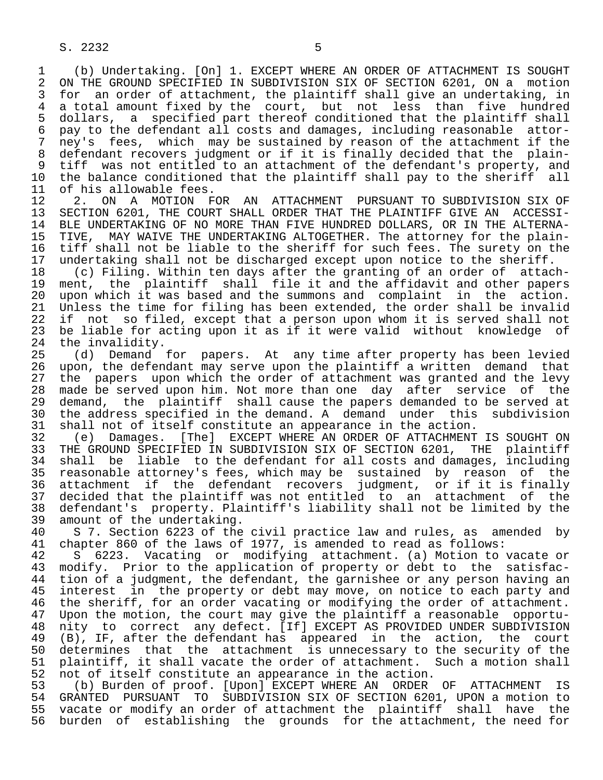1 (b) Undertaking. [On] 1. EXCEPT WHERE AN ORDER OF ATTACHMENT IS SOUGHT 2 ON THE GROUND SPECIFIED IN SUBDIVISION SIX OF SECTION 6201, ON a motion<br>3 for an order of attachment, the plaintiff shall give an undertaking, in for an order of attachment, the plaintiff shall give an undertaking, in 4 a total amount fixed by the court, but not less than five hundred<br>5 dollars, a specified part thereof conditioned that the plaintiff shall 5 dollars, a specified part thereof conditioned that the plaintiff shall<br>6 pay to the defendant all costs and damages, including reasonable attor- 6 pay to the defendant all costs and damages, including reasonable attor- 7 ney's fees, which may be sustained by reason of the attachment if the<br>8 defendant recovers judgment or if it is finally decided that the plain-8 defendant recovers judgment or if it is finally decided that the plain-<br>9 tiff was not entitled to an attachment of the defendant's property, and 9 tiff was not entitled to an attachment of the defendant's property, and<br>10 the balance conditioned that the plaintiff shall pay to the sheriff all 10 the balance conditioned that the plaintiff shall pay to the sheriff all<br>11 of his allowable fees.

11 of his allowable fees.<br>12 2. ON A MOTION F 12 2. ON A MOTION FOR AN ATTACHMENT PURSUANT TO SUBDIVISION SIX OF<br>13 SECTION 6201, THE COURT SHALL ORDER THAT THE PLAINTIFF GIVE AN ACCESSI-13 SECTION 6201, THE COURT SHALL ORDER THAT THE PLAINTIFF GIVE AN ACCESSI-<br>14 BLE UNDERTAKING OF NO MORE THAN FIVE HUNDRED DOLLARS, OR IN THE ALTERNA-BLE UNDERTAKING OF NO MORE THAN FIVE HUNDRED DOLLARS, OR IN THE ALTERNA-15 TIVE, MAY WAIVE THE UNDERTAKING ALTOGETHER. The attorney for the plain-<br>16 tiff shall not be liable to the sheriff for such fees. The surety on the 16 tiff shall not be liable to the sheriff for such fees. The surety on the<br>17 undertaking shall not be discharged except upon notice to the sheriff.

17 undertaking shall not be discharged except upon notice to the sheriff.<br>18 (c) Filing. Within ten days after the granting of an order of attac 18 (c) Filing. Within ten days after the granting of an order of attach-<br>19 ment, the plaintiff shall file it and the affidavit and other papers 19 ment, the plaintiff shall file it and the affidavit and other papers<br>20 upon which it was based and the summons and complaint in the action. 20 upon which it was based and the summons and complaint in the action.<br>21 Unless the time for filing has been extended, the order shall be invalid 21 Unless the time for filing has been extended, the order shall be invalid<br>22 if not so filed, except that a person upon whom it is served shall not 22 if not so filed, except that a person upon whom it is served shall not<br>23 be liable for acting upon it as if it were valid without knowledge of be liable for acting upon it as if it were valid without knowledge of

24 the invalidity.<br>25 (d) Demand (d) Demand for papers. At any time after property has been levied 26 upon, the defendant may serve upon the plaintiff a written demand that<br>27 the papers upon which the order of attachment was granted and the levy 27 the papers upon which the order of attachment was granted and the levy<br>28 made be served upon him. Not more than one day after service of the 28 made be served upon him. Not more than one day after service of the<br>29 demand, the plaintiff shall cause the papers demanded to be served at 29 demand, the plaintiff shall cause the papers demanded to be served at<br>30 the address specified in the demand. A demand under this subdivision 30 the address specified in the demand. A demand under this subdivision<br>31 shall not of itself constitute an appearance in the action.

31 shall not of itself constitute an appearance in the action.<br>32 (e) Damages. [The] EXCEPT WHERE AN ORDER OF ATTACHMENT 32 (e) Damages. [The] EXCEPT WHERE AN ORDER OF ATTACHMENT IS SOUGHT ON<br>33 THE GROUND SPECIFIED IN SUBDIVISION SIX OF SECTION 6201, THE plaintiff 33 THE GROUND SPECIFIED IN SUBDIVISION SIX OF SECTION 6201, THE plaintiff<br>34 shall be liable to the defendant for all costs and damages, including 34 shall be liable to the defendant for all costs and damages, including<br>35 reasonable attorney's fees, which may be sustained by reason of the 35 reasonable attorney's fees, which may be sustained by reason of the<br>36 attachment if the defendant recovers judgment, or if it is finally attachment if the defendant recovers judgment, or if it is finally 37 decided that the plaintiff was not entitled to an attachment of the<br>38 defendant's property. Plaintiff's liability shall not be limited by the 38 defendant's property. Plaintiff's liability shall not be limited by the 39 amount of the undertaking.<br>40 S 7. Section 6223 of the

40 S 7. Section 6223 of the civil practice law and rules, as amended by<br>41 chapter 860 of the laws of 1977, is amended to read as follows: 41 chapter 860 of the laws of 1977, is amended to read as follows:

42 S 6223. Vacating or modifying attachment. (a) Motion to vacate or<br>43 modify. Prior to the application of property or debt to the satisfac-43 modify. Prior to the application of property or debt to the satisfac-<br>44 tion of a judgment, the defendant, the garnishee or any person having an 44 tion of a judgment, the defendant, the garnishee or any person having an<br>45 interest in the property or debt may move, on notice to each party and interest in the property or debt may move, on notice to each party and 46 the sheriff, for an order vacating or modifying the order of attachment.<br>47 Upon the motion, the court may give the plaintiff a reasonable opportu-Upon the motion, the court may give the plaintiff a reasonable opportu-48 nity to correct any defect. [If] EXCEPT AS PROVIDED UNDER SUBDIVISION<br>49 (B), IF, after the defendant has appeared in the action, the court 49 (B), IF, after the defendant has appeared in the action, the court<br>50 determines that the attachment is unnecessary to the security of the 50 determines that the attachment is unnecessary to the security of the<br>51 plaintiff, it shall vacate the order of attachment. Such a motion shall 51 plaintiff, it shall vacate the order of attachment. Such a motion shall<br>52 not of itself constitute an appearance in the action. 52 not of itself constitute an appearance in the action.<br>53 (b) Burden of proof. [Upon] EXCEPT WHERE AN ORDER

53 (b) Burden of proof. [Upon] EXCEPT WHERE AN ORDER OF ATTACHMENT IS<br>54 GRANTED PURSUANT TO SUBDIVISION SIX OF SECTION 6201, UPON a motion to 54 GRANTED PURSUANT TO SUBDIVISION SIX OF SECTION 6201, UPON a motion to<br>55 vacate or modify an order of attachment the plaintiff shall have the 55 vacate or modify an order of attachment the plaintiff shall have the<br>56 burden of establishing the grounds for the attachment, the need for 56 burden of establishing the grounds for the attachment, the need for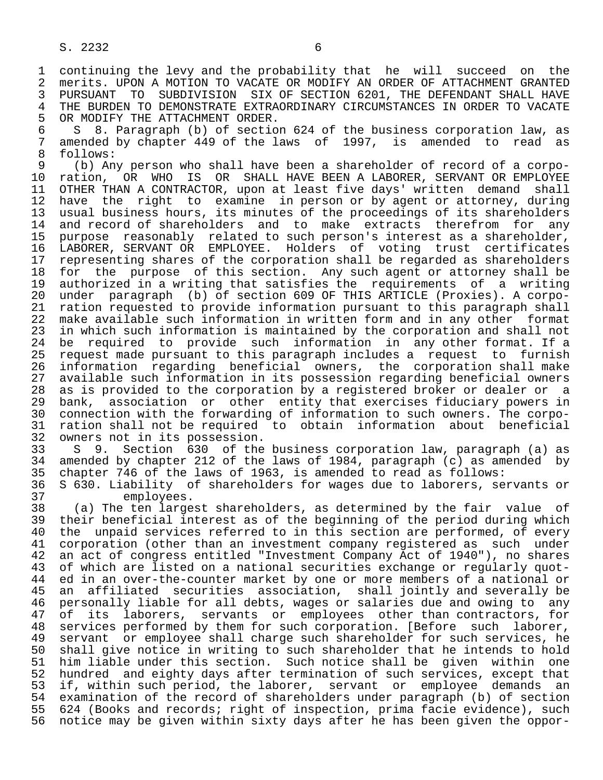1 continuing the levy and the probability that he will succeed on the<br>2 merits, UPON A MOTION TO VACATE OR MODIFY AN ORDER OF ATTACHMENT GRANTED 2 merits. UPON A MOTION TO VACATE OR MODIFY AN ORDER OF ATTACHMENT GRANTED<br>3 PURSUANT TO SUBDIVISION SIX OF SECTION 6201, THE DEFENDANT SHALL HAVE 3 PURSUANT TO SUBDIVISION SIX OF SECTION 6201, THE DEFENDANT SHALL HAVE<br>4 THE BURDEN TO DEMONSTRATE EXTRAORDINARY CIRCUMSTANCES IN ORDER TO VACATE 4 THE BURDEN TO DEMONSTRATE EXTRAORDINARY CIRCUMSTANCES IN ORDER TO VACATE<br>5 OR MODIFY THE ATTACHMENT ORDER. 5 OR MODIFY THE ATTACHMENT ORDER.<br>6 S 8. Paragraph (b) of section

6 S 8. Paragraph (b) of section 624 of the business corporation law, as<br>7 amended by chapter 449 of the laws of 1997, is amended to read as 7 amended by chapter 449 of the laws of 1997, is amended to read as  $\beta$ 8 follows:<br>9 (b) An

9 (b) Any person who shall have been a shareholder of record of a corpo-<br>10 ration, OR WHO IS OR SHALL HAVE BEEN A LABORER, SERVANT OR EMPLOYEE 10 ration, OR WHO IS OR SHALL HAVE BEEN A LABORER, SERVANT OR EMPLOYEE<br>11 OTHER THAN A CONTRACTOR, upon at least five days' written demand shall 11 OTHER THAN A CONTRACTOR, upon at least five days' written demand shall<br>12 have the right to examine in person or by agent or attorney, during 12 have the right to examine in person or by agent or attorney, during<br>13 usual business hours, its minutes of the proceedings of its shareholders 13 usual business hours, its minutes of the proceedings of its shareholders<br>14 and record of shareholders and to make extracts therefrom for any and record of shareholders and to make extracts therefrom for any 15 purpose reasonably related to such person's interest as a shareholder, 16 LABORER, SERVANT OR EMPLOYEE. Holders of voting trust certificates<br>17 representing shares of the corporation shall be regarded as shareholders 17 representing shares of the corporation shall be regarded as shareholders<br>18 for the purpose of this section. Any such agent or attorney shall be 18 for the purpose of this section. Any such agent or attorney shall be<br>19 authorized in a writing that satisfies the requirements of a writing 19 authorized in a writing that satisfies the requirements of a writing<br>20 under paragraph (b) of section 609 OF THIS ARTICLE (Proxies). A corpo-20 under paragraph (b) of section 609 OF THIS ARTICLE (Proxies). A corpo-<br>21 ration requested to provide information pursuant to this paragraph shall 21 ration requested to provide information pursuant to this paragraph shall<br>22 make available such information in written form and in any other format 22 make available such information in written form and in any other format<br>23 in which such information is maintained by the corporation and shall not in which such information is maintained by the corporation and shall not 24 be required to provide such information in any other format. If a<br>25 request made pursuant to this paragraph includes a request to furnish 25 request made pursuant to this paragraph includes a request to furnish 26 information regarding beneficial owners, the corporation shall make 27 available such information in its possession regarding beneficial owners<br>28 as is provided to the corporation by a registered broker or dealer or a 28 as is provided to the corporation by a registered broker or dealer or a<br>29 bank, association or other entity that exercises fiduciary powers in 29 bank, association or other entity that exercises fiduciary powers in<br>20 connection with the forwarding of information to such owners. The corpo-30 connection with the forwarding of information to such owners. The corpo-<br>31 ration shall not be required to obtain information about beneficial 31 ration shall not be required to obtain information about beneficial<br>32 owners not in its possession.

32 owners not in its possession.<br>33 S 9. Section 630 of the 33 S 9. Section 630 of the business corporation law, paragraph (a) as<br>34 amended by chapter 212 of the laws of 1984, paragraph (c) as amended by 34 amended by chapter 212 of the laws of 1984, paragraph (c) as amended by<br>35 chapter 746 of the laws of 1963, is amended to read as follows: 35 chapter 746 of the laws of 1963, is amended to read as follows:<br>36 S 630. Liability of shareholders for wages due to laborers, se 36 S 630. Liability of shareholders for wages due to laborers, servants or

37 employees.<br>38 (a) The ten large 38 (a) The ten largest shareholders, as determined by the fair value of 39 their beneficial interest as of the beginning of the period during which<br>40 the unpaid services referred to in this section are performed, of every 40 the unpaid services referred to in this section are performed, of every<br>41 corporation (other than an investment company registered as such under 41 corporation (other than an investment company registered as such under<br>42 an act of congress entitled "Investment Company Act of 1940"), no shares 42 an act of congress entitled "Investment Company Act of 1940"), no shares<br>43 of which are listed on a national securities exchange or regularly guot-43 of which are listed on a national securities exchange or regularly quot-<br>44 ed in an over-the-counter market by one or more members of a national or 44 ed in an over-the-counter market by one or more members of a national or<br>45 an affiliated securities association, shall jointly and severally be an affiliated securities association, shall jointly and severally be 16 personally liable for all debts, wages or salaries due and owing to any<br>47 of its laborers, servants or employees other than contractors, for 47 of its laborers, servants or employees other than contractors, for<br>48 services performed by them for such corporation. [Before such laborer, 48 services performed by them for such corporation. [Before such laborer,<br>49 servant or employee shall charge such shareholder for such services, he 49 servant or employee shall charge such shareholder for such services, he<br>50 shall give notice in writing to such shareholder that he intends to hold 50 shall give notice in writing to such shareholder that he intends to hold<br>51 him liable under this section. Such notice shall be given within one 51 him liable under this section. Such notice shall be given within one<br>52 hundred and eighty days after termination of such services, except that 52 hundred and eighty days after termination of such services, except that<br>53 if, within such period, the laborer, servant or employee demands an 53 if, within such period, the laborer, servant or employee demands an<br>54 examination of the record of shareholders under paragraph (b) of section 54 examination of the record of shareholders under paragraph (b) of section<br>55 624 (Books and records; right of inspection, prima facie evidence), such 55 624 (Books and records; right of inspection, prima facie evidence), such<br>56 notice may be given within sixty days after he has been given the oppor-56 notice may be given within sixty days after he has been given the oppor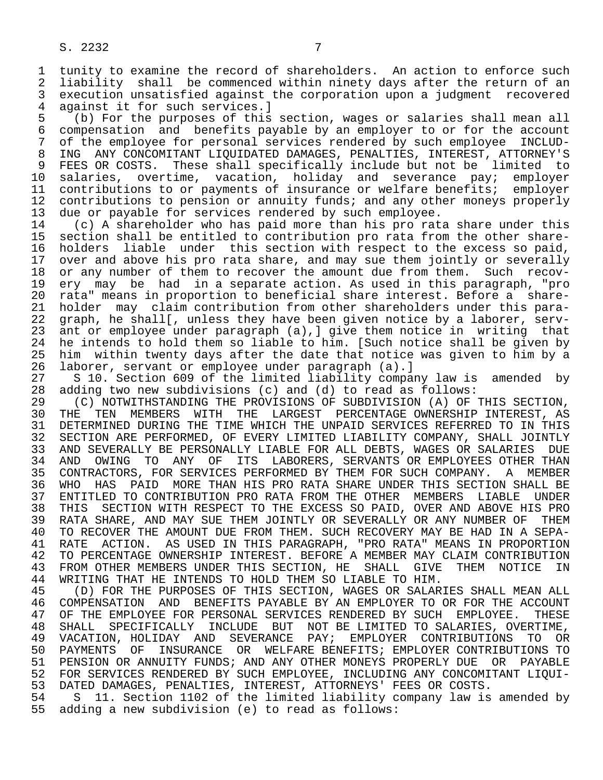1 tunity to examine the record of shareholders. An action to enforce such<br>2 liability shall be commenced within ninety days after the return of an 2 liability shall be commenced within ninety days after the return of an 3 execution unsatisfied against the corporation upon a judgment recovered

4 against it for such services.]<br>5 (b) For the purposes of this 5 (b) For the purposes of this section, wages or salaries shall mean all 6 compensation and benefits payable by an employer to or for the account<br>7 of the employee for personal services rendered by such employee INCLUD-7 of the employee for personal services rendered by such employee INCLUD-<br>8 ING ANY CONCOMITANT LIOUIDATED DAMAGES, PENALTIES, INTEREST, ATTORNEY'S 8 ING ANY CONCOMITANT LIQUIDATED DAMAGES, PENALTIES, INTEREST, ATTORNEY'S<br>9 FEES OR COSTS. These shall specifically include but not be limited to 9 FEES OR COSTS. These shall specifically include but not be limited to<br>10 salaries, overtime, vacation, holiday and severance pay; employer 10 salaries, overtime, vacation, holiday and severance pay;<br>11 contributions to or payments of insurance or welfare benefits; 11 contributions to or payments of insurance or welfare benefits; employer<br>12 contributions to pension or annuity funds; and any other moneys properly 12 contributions to pension or annuity funds; and any other moneys properly<br>13 due or pavable for services rendered by such employee. 13 due or payable for services rendered by such employee.<br>14 (c) A shareholder who has paid more than his pro rat

14 (c) A shareholder who has paid more than his pro rata share under this<br>15 section shall be entitled to contribution pro rata from the other share-15 section shall be entitled to contribution pro rata from the other share-<br>16 holders liable under this section with respect to the excess so paid, 16 holders liable under this section with respect to the excess so paid,<br>17 over and above his pro rata share, and may sue them jointly or severally 17 over and above his pro rata share, and may sue them jointly or severally<br>18 or any number of them to recover the amount due from them. Such recov-18 or any number of them to recover the amount due from them. Such recov-<br>19 ery may be had in a separate action. As used in this paragraph. "pro 19 ery may be had in a separate action. As used in this paragraph, "pro<br>20 rata" means in proportion to beneficial share interest. Before a share-20 rata" means in proportion to beneficial share interest. Before a share-<br>21 holder may claim contribution from other shareholders under this para-21 holder may claim contribution from other shareholders under this para-<br>22 graph, he shall[, unless they have been given notice by a laborer, serv-22 graph, he shall[, unless they have been given notice by a laborer, serv-<br>23 ant or employee under paragraph (a), give them notice in writing that ant or employee under paragraph  $(a)$ ,  $j$  give them notice in writing that 24 he intends to hold them so liable to him. [Such notice shall be given by<br>25 him within twenty days after the date that notice was given to him by a him within twenty days after the date that notice was given to him by a 26 laborer, servant or employee under paragraph (a).]

27 S 10. Section 609 of the limited liability company law is amended by<br>28 adding two new subdivisions (c) and (d) to read as follows: 28 adding two new subdivisions (c) and (d) to read as follows:<br>29 (C) NOTWITHSTANDING THE PROVISIONS OF SUBDIVISION (A) OF

29 (C) NOTWITHSTANDING THE PROVISIONS OF SUBDIVISION (A) OF THIS SECTION,<br>30 THE TEN MEMBERS WITH THE LARGEST PERCENTAGE OWNERSHIP INTEREST. AS 30 THE TEN MEMBERS WITH THE LARGEST PERCENTAGE-OWNERSHIP-INTEREST, AS<br>31 DETERMINED-DURING-THE-TIME-WHICH-THE-UNPAID-SERVICES-REFERRED-TO-IN-THIS 31 DETERMINED DURING THE TIME WHICH THE UNPAID SERVICES REFERRED TO IN THIS<br>32 SECTION ARE PERFORMED, OF EVERY LIMITED LIABILITY COMPANY, SHALL JOINTLY 32 SECTION ARE PERFORMED, OF EVERY LIMITED LIABILITY COMPANY, SHALL JOINTLY<br>33 AND SEVERALLY BE PERSONALLY LIABLE FOR ALL DEBTS, WAGES OR SALARIES DUE 33 AND SEVERALLY BE PERSONALLY LIABLE FOR ALL DEBTS, WAGES OR SALARIES DUE<br>34 AND OWING TO ANY OF ITS LABORERS, SERVANTS OR EMPLOYEES OTHER THAN 34 AND OWING TO ANY OF ITS LABORERS, SERVANTS OR EMPLOYEES OTHER THAN<br>35 CONTRACTORS, FOR SERVICES PERFORMED BY THEM FOR SUCH COMPANY, A MEMBER 35 CONTRACTORS, FOR SERVICES PERFORMED BY THEM FOR SUCH COMPANY. A MEMBER<br>36 WHO HAS PAID MORE THAN HIS PRO RATA SHARE UNDER THIS SECTION SHALL BE WHO HAS PAID MORE THAN HIS PRO RATA SHARE UNDER THIS SECTION SHALL BE 37 ENTITLED TO CONTRIBUTION PRO RATA FROM THE OTHER MEMBERS LIABLE UNDER<br>38 THIS SECTION WITH RESPECT TO THE EXCESS SO PAID, OVER AND ABOVE HIS PRO 38 THIS SECTION WITH RESPECT TO THE EXCESS SO PAID, OVER AND ABOVE HIS PRO<br>39 RATA SHARE, AND MAY SUE THEM JOINTLY OR SEVERALLY OR ANY NUMBER OF THEM 39 RATA SHARE, AND MAY SUE THEM JOINTLY OR SEVERALLY OR ANY NUMBER OF THEM<br>40 TO RECOVER THE AMOUNT DUE FROM THEM. SUCH RECOVERY MAY BE HAD IN A SEPA-40 TO RECOVER THE AMOUNT DUE FROM THEM. SUCH RECOVERY MAY BE HAD IN A SEPA-<br>41 RATE ACTION. AS USED IN THIS PARAGRAPH, "PRO RATA" MEANS IN PROPORTION 41 RATE ACTION. AS USED IN THIS PARAGRAPH, "PRO RATA" MEANS IN PROPORTION<br>42 TO PERCENTAGE OWNERSHIP INTEREST. BEFORE A MEMBER MAY CLAIM CONTRIBUTION 42 TO PERCENTAGE OWNERSHIP INTEREST. BEFORE A MEMBER MAY CLAIM CONTRIBUTION<br>43 FROM OTHER MEMBERS UNDER THIS SECTION, HE SHALL GIVE THEM NOTICE IN 43 FROM OTHER MEMBERS UNDER THIS SECTION, HE SHALL GIVE THEM NOTICE 44 WRITING THAT HE INTENDS TO HOLD THEM SO LIABLE TO HIM. 44 WRITING THAT HE INTENDS TO HOLD THEM SO LIABLE TO HIM.<br>45 (D) FOR THE PURPOSES OF THIS SECTION, WAGES OR SALAR

 45 (D) FOR THE PURPOSES OF THIS SECTION, WAGES OR SALARIES SHALL MEAN ALL 46 COMPENSATION AND BENEFITS PAYABLE BY AN EMPLOYER TO OR FOR THE ACCOUNT 47 OF THE EMPLOYEE FOR PERSONAL SERVICES RENDERED BY SUCH EMPLOYEE. THESE OF THE EMPLOYEE FOR PERSONAL SERVICES RENDERED BY SUCH EMPLOYEE. THESE 48 SHALL SPECIFICALLY INCLUDE BUT NOT BE LIMITED TO SALARIES, OVERTIME, 49 VACATION, HOLIDAY AND SEVERANCE PAY; EMPLOYER CONTRIBUTIONS TO OR<br>50 PAYMENTS OF INSURANCE OR WELFARE BENEFITS; EMPLOYER CONTRIBUTIONS TO 50 PAYMENTS OF INSURANCE OR WELFARE BENEFITS; EMPLOYER CONTRIBUTIONS TO<br>51 PENSION OR ANNUITY FUNDS; AND ANY OTHER MONEYS PROPERLY DUE OR PAYABLE 51 PENSION OR ANNUITY FUNDS; AND ANY OTHER MONEYS PROPERLY DUE OR PAYABLE 52 FOR SERVICES RENDERED BY SUCH EMPLOYEE, INCLUDING ANY CONCOMITANT LIQUI-<br>53 DATED DAMAGES, PENALTIES, INTEREST, ATTORNEYS' FEES OR COSTS. 53 DATED DAMAGES, PENALTIES, INTEREST, ATTORNEYS' FEES OR COSTS.<br>54 S 11. Section 1102 of the limited liability company law is

54 S 11. Section 1102 of the limited liability company law is amended by<br>55 adding a new subdivision (e) to read as follows: adding a new subdivision (e) to read as follows: